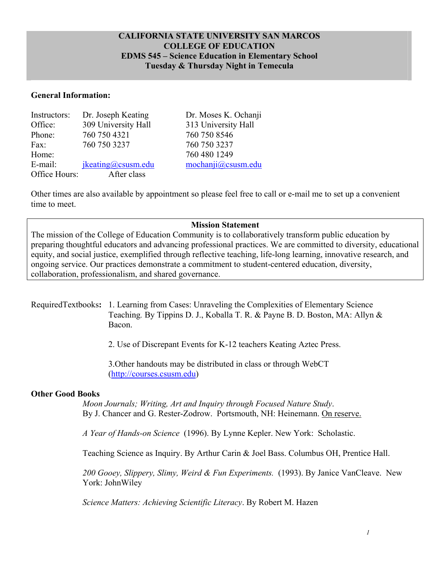## **CALIFORNIA STATE UNIVERSITY SAN MARCOS COLLEGE OF EDUCATION EDMS 545 – Science Education in Elementary School Tuesday & Thursday Night in Temecula**

#### **General Information:**

| Instructors:  | Dr. Joseph Keating  | Dr. Moses K. Ochanji |
|---------------|---------------------|----------------------|
| Office:       | 309 University Hall | 313 University Hall  |
| Phone:        | 760 750 4321        | 760 750 8546         |
| Fax:          | 760 750 3237        | 760 750 3237         |
| Home:         |                     | 760 480 1249         |
| E-mail:       | ikeating@cssusm.edu | mochanji@csusm.edu   |
| Office Hours: | After class         |                      |

Other times are also available by appointment so please feel free to call or e-mail me to set up a convenient time to meet.

#### **Mission Statement**

The mission of the College of Education Community is to collaboratively transform public education by preparing thoughtful educators and advancing professional practices. We are committed to diversity, educational equity, and social justice, exemplified through reflective teaching, life-long learning, innovative research, and ongoing service. Our practices demonstrate a commitment to student-centered education, diversity, collaboration, professionalism, and shared governance.

#### RequiredTextbooks**:** 1. Learning from Cases: Unraveling the Complexities of Elementary Science Teaching*.* By Tippins D. J., Koballa T. R. & Payne B. D. Boston, MA: Allyn & Bacon.

2. Use of Discrepant Events for K-12 teachers Keating Aztec Press.

3.Other handouts may be distributed in class or through WebCT (http://courses.csusm.edu)

#### **Other Good Books**

*Moon Journals; Writing, Art and Inquiry through Focused Nature Study*. By J. Chancer and G. Rester-Zodrow. Portsmouth, NH: Heinemann. On reserve.

 *A Year of Hands-on Science* (1996). By Lynne Kepler. New York: Scholastic.

Teaching Science as Inquiry. By Arthur Carin & Joel Bass. Columbus OH, Prentice Hall.

*200 Gooey, Slippery, Slimy, Weird & Fun Experiments.* (1993). By Janice VanCleave. New York: JohnWiley

*Science Matters: Achieving Scientific Literacy*. By Robert M. Hazen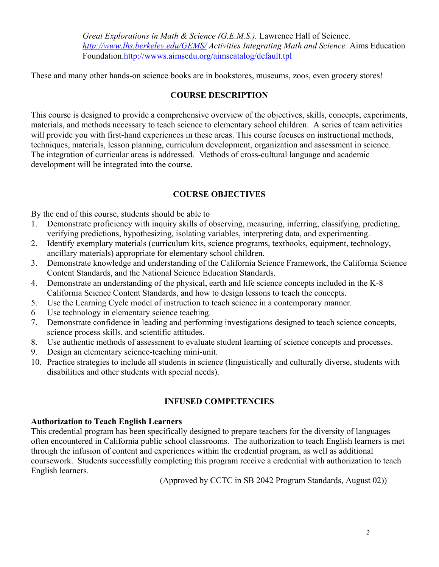*Great Explorations in Math & Science (G.E.M.S.).* Lawrence Hall of Science. *http://www.lhs.berkeley.edu/GEMS/ Activities Integrating Math and Science.* Aims Education Foundation.http://wwws.aimsedu.org/aimscatalog/default.tpl

These and many other hands-on science books are in bookstores, museums, zoos, even grocery stores!

## **COURSE DESCRIPTION**

This course is designed to provide a comprehensive overview of the objectives, skills, concepts, experiments, materials, and methods necessary to teach science to elementary school children. A series of team activities will provide you with first-hand experiences in these areas. This course focuses on instructional methods, techniques, materials, lesson planning, curriculum development, organization and assessment in science. The integration of curricular areas is addressed. Methods of cross-cultural language and academic development will be integrated into the course.

## **COURSE OBJECTIVES**

By the end of this course, students should be able to

- 1. Demonstrate proficiency with inquiry skills of observing, measuring, inferring, classifying, predicting, verifying predictions, hypothesizing, isolating variables, interpreting data, and experimenting.
- 2. Identify exemplary materials (curriculum kits, science programs, textbooks, equipment, technology, ancillary materials) appropriate for elementary school children.
- 3. Demonstrate knowledge and understanding of the California Science Framework, the California Science Content Standards, and the National Science Education Standards.
- 4. Demonstrate an understanding of the physical, earth and life science concepts included in the K-8 California Science Content Standards, and how to design lessons to teach the concepts.
- 5. Use the Learning Cycle model of instruction to teach science in a contemporary manner.
- 6 Use technology in elementary science teaching.
- 7. Demonstrate confidence in leading and performing investigations designed to teach science concepts, science process skills, and scientific attitudes.
- 8. Use authentic methods of assessment to evaluate student learning of science concepts and processes.
- 9. Design an elementary science-teaching mini-unit.
- 10. Practice strategies to include all students in science (linguistically and culturally diverse, students with disabilities and other students with special needs).

## **INFUSED COMPETENCIES**

## **Authorization to Teach English Learners**

This credential program has been specifically designed to prepare teachers for the diversity of languages often encountered in California public school classrooms. The authorization to teach English learners is met through the infusion of content and experiences within the credential program, as well as additional coursework. Students successfully completing this program receive a credential with authorization to teach English learners.

(Approved by CCTC in SB 2042 Program Standards, August 02))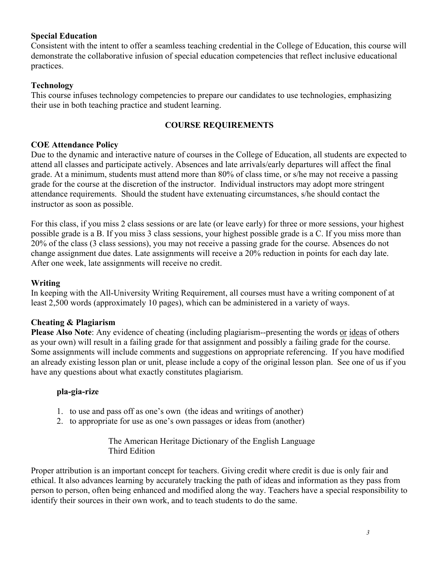## **Special Education**

Consistent with the intent to offer a seamless teaching credential in the College of Education, this course will demonstrate the collaborative infusion of special education competencies that reflect inclusive educational practices.

## **Technology**

This course infuses technology competencies to prepare our candidates to use technologies, emphasizing their use in both teaching practice and student learning.

## **COURSE REQUIREMENTS**

## **COE Attendance Policy**

Due to the dynamic and interactive nature of courses in the College of Education, all students are expected to attend all classes and participate actively. Absences and late arrivals/early departures will affect the final grade. At a minimum, students must attend more than 80% of class time, or s/he may not receive a passing grade for the course at the discretion of the instructor. Individual instructors may adopt more stringent attendance requirements. Should the student have extenuating circumstances, s/he should contact the instructor as soon as possible.

For this class, if you miss 2 class sessions or are late (or leave early) for three or more sessions, your highest possible grade is a B. If you miss 3 class sessions, your highest possible grade is a C. If you miss more than 20% of the class (3 class sessions), you may not receive a passing grade for the course. Absences do not change assignment due dates. Late assignments will receive a 20% reduction in points for each day late. After one week, late assignments will receive no credit.

## **Writing**

In keeping with the All-University Writing Requirement, all courses must have a writing component of at least 2,500 words (approximately 10 pages), which can be administered in a variety of ways.

## **Cheating & Plagiarism**

**Please Also Note**: Any evidence of cheating (including plagiarism--presenting the words or ideas of others as your own) will result in a failing grade for that assignment and possibly a failing grade for the course. Some assignments will include comments and suggestions on appropriate referencing. If you have modified an already existing lesson plan or unit, please include a copy of the original lesson plan. See one of us if you have any questions about what exactly constitutes plagiarism.

## **pla-gia-rize**

- 1. to use and pass off as one's own (the ideas and writings of another)
- 2. to appropriate for use as one's own passages or ideas from (another)

The American Heritage Dictionary of the English Language Third Edition

Proper attribution is an important concept for teachers. Giving credit where credit is due is only fair and ethical. It also advances learning by accurately tracking the path of ideas and information as they pass from person to person, often being enhanced and modified along the way. Teachers have a special responsibility to identify their sources in their own work, and to teach students to do the same.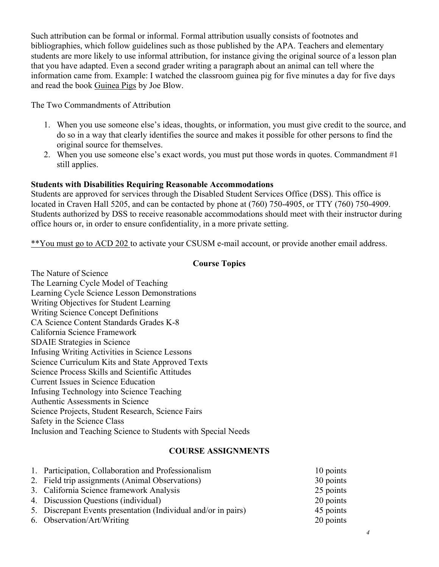Such attribution can be formal or informal. Formal attribution usually consists of footnotes and bibliographies, which follow guidelines such as those published by the APA. Teachers and elementary students are more likely to use informal attribution, for instance giving the original source of a lesson plan that you have adapted. Even a second grader writing a paragraph about an animal can tell where the information came from. Example: I watched the classroom guinea pig for five minutes a day for five days and read the book Guinea Pigs by Joe Blow.

The Two Commandments of Attribution

- 1. When you use someone else's ideas, thoughts, or information, you must give credit to the source, and do so in a way that clearly identifies the source and makes it possible for other persons to find the original source for themselves.
- 2. When you use someone else's exact words, you must put those words in quotes. Commandment #1 still applies.

## **Students with Disabilities Requiring Reasonable Accommodations**

Students are approved for services through the Disabled Student Services Office (DSS). This office is located in Craven Hall 5205, and can be contacted by phone at (760) 750-4905, or TTY (760) 750-4909. Students authorized by DSS to receive reasonable accommodations should meet with their instructor during office hours or, in order to ensure confidentiality, in a more private setting.

\*\*You must go to ACD 202 to activate your CSUSM e-mail account, or provide another email address.

## **Course Topics**

The Nature of Science The Learning Cycle Model of Teaching Learning Cycle Science Lesson Demonstrations Writing Objectives for Student Learning Writing Science Concept Definitions CA Science Content Standards Grades K-8 California Science Framework SDAIE Strategies in Science Infusing Writing Activities in Science Lessons Science Curriculum Kits and State Approved Texts Science Process Skills and Scientific Attitudes Current Issues in Science Education Infusing Technology into Science Teaching Authentic Assessments in Science Science Projects, Student Research, Science Fairs Safety in the Science Class Inclusion and Teaching Science to Students with Special Needs

## **COURSE ASSIGNMENTS**

| 1. Participation, Collaboration and Professionalism            | 10 points |
|----------------------------------------------------------------|-----------|
| 2. Field trip assignments (Animal Observations)                | 30 points |
| 3. California Science framework Analysis                       | 25 points |
| 4. Discussion Questions (individual)                           | 20 points |
| 5. Discrepant Events presentation (Individual and/or in pairs) | 45 points |
| 6. Observation/Art/Writing                                     | 20 points |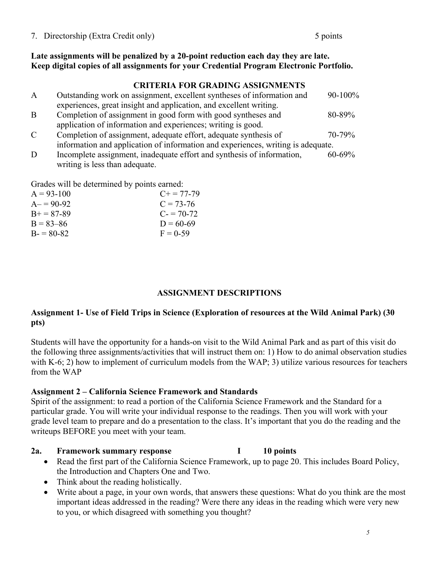#### 7. Directorship (Extra Credit only) 5 points

#### **Late assignments will be penalized by a 20-point reduction each day they are late. Keep digital copies of all assignments for your Credential Program Electronic Portfolio.**

### **CRITERIA FOR GRADING ASSIGNMENTS**

| A             | Outstanding work on assignment, excellent syntheses of information and                                                                                                                                                                                                                           | $90-100%$ |
|---------------|--------------------------------------------------------------------------------------------------------------------------------------------------------------------------------------------------------------------------------------------------------------------------------------------------|-----------|
|               | experiences, great insight and application, and excellent writing.                                                                                                                                                                                                                               |           |
| B             | Completion of assignment in good form with good syntheses and                                                                                                                                                                                                                                    | 80-89%    |
|               | application of information and experiences; writing is good.                                                                                                                                                                                                                                     |           |
| $\mathcal{C}$ | Completion of assignment, adequate effort, adequate synthesis of                                                                                                                                                                                                                                 | 70-79%    |
|               | information and application of information and experiences, writing is adequate.                                                                                                                                                                                                                 |           |
| <u>n</u>      | $\mathbf{I}$ and $\mathbf{I}$ are $\mathbf{I}$ and $\mathbf{I}$ and $\mathbf{I}$ and $\mathbf{I}$ and $\mathbf{I}$ are $\mathbf{I}$ and $\mathbf{I}$ and $\mathbf{I}$ are $\mathbf{I}$ and $\mathbf{I}$ and $\mathbf{I}$ are $\mathbf{I}$ and $\mathbf{I}$ are $\mathbf{I}$ and $\mathbf{I}$ are |           |

D Incomplete assignment, inadequate effort and synthesis of information, 60-69% writing is less than adequate.

Grades will be determined by points earned:

| $A = 93-100$  | $C_{\pm} = 77 - 79$ |
|---------------|---------------------|
| $A = 90-92$   | $C = 73-76$         |
| $R + 87-89$   | $C = 70-72$         |
| $B = 83 - 86$ | $D = 60-69$         |
| $B = 80-82$   | $F = 0.59$          |

## **ASSIGNMENT DESCRIPTIONS**

### **Assignment 1- Use of Field Trips in Science (Exploration of resources at the Wild Animal Park) (30 pts)**

Students will have the opportunity for a hands-on visit to the Wild Animal Park and as part of this visit do the following three assignments/activities that will instruct them on: 1) How to do animal observation studies with K-6; 2) how to implement of curriculum models from the WAP; 3) utilize various resources for teachers from the WAP

#### **Assignment 2 – California Science Framework and Standards**

Spirit of the assignment: to read a portion of the California Science Framework and the Standard for a particular grade. You will write your individual response to the readings. Then you will work with your grade level team to prepare and do a presentation to the class. It's important that you do the reading and the writeups BEFORE you meet with your team.

#### **2a. Framework summary response I 10 points**

- Read the first part of the California Science Framework, up to page 20. This includes Board Policy, the Introduction and Chapters One and Two.
- Think about the reading holistically.
- Write about a page, in your own words, that answers these questions: What do you think are the most important ideas addressed in the reading? Were there any ideas in the reading which were very new to you, or which disagreed with something you thought?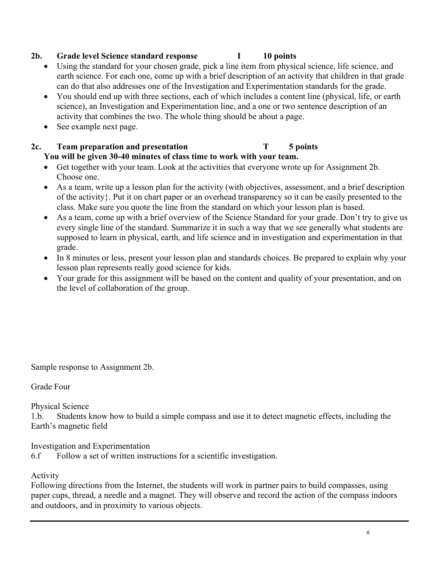## **2b. Grade level Science standard response I 10 points**

- Using the standard for your chosen grade, pick a line item from physical science, life science, and earth science. For each one, come up with a brief description of an activity that children in that grade can do that also addresses one of the Investigation and Experimentation standards for the grade.
- You should end up with three sections, each of which includes a content line (physical, life, or earth science), an Investigation and Experimentation line, and a one or two sentence description of an activity that combines the two. The whole thing should be about a page.
- See example next page.

### **2c. Team preparation and presentation T 5 points You will be given 30-40 minutes of class time to work with your team.**

- Get together with your team. Look at the activities that everyone wrote up for Assignment 2b. Choose one.
- As a team, write up a lesson plan for the activity (with objectives, assessment, and a brief description of the activity}. Put it on chart paper or an overhead transparency so it can be easily presented to the class. Make sure you quote the line from the standard on which your lesson plan is based.
- As a team, come up with a brief overview of the Science Standard for your grade. Don't try to give us every single line of the standard. Summarize it in such a way that we see generally what students are supposed to learn in physical, earth, and life science and in investigation and experimentation in that grade.
- In 8 minutes or less, present your lesson plan and standards choices. Be prepared to explain why your lesson plan represents really good science for kids.
- Your grade for this assignment will be based on the content and quality of your presentation, and on the level of collaboration of the group.

Sample response to Assignment 2b.

Grade Four

Physical Science

1.b. Students know how to build a simple compass and use it to detect magnetic effects, including the Earth's magnetic field

Investigation and Experimentation

6.f Follow a set of written instructions for a scientific investigation.

Activity

Following directions from the Internet, the students will work in partner pairs to build compasses, using paper cups, thread, a needle and a magnet. They will observe and record the action of the compass indoors and outdoors, and in proximity to various objects.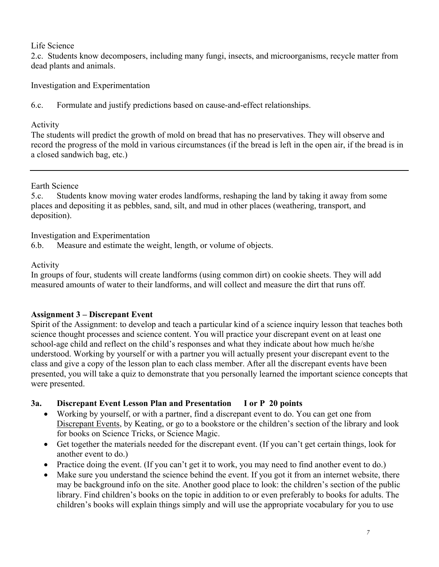Life Science

2.c. Students know decomposers, including many fungi, insects, and microorganisms, recycle matter from dead plants and animals.

Investigation and Experimentation

6.c. Formulate and justify predictions based on cause-and-effect relationships.

Activity

The students will predict the growth of mold on bread that has no preservatives. They will observe and record the progress of the mold in various circumstances (if the bread is left in the open air, if the bread is in a closed sandwich bag, etc.)

Earth Science

5.c. Students know moving water erodes landforms, reshaping the land by taking it away from some places and depositing it as pebbles, sand, silt, and mud in other places (weathering, transport, and deposition).

Investigation and Experimentation

6.b. Measure and estimate the weight, length, or volume of objects.

Activity

In groups of four, students will create landforms (using common dirt) on cookie sheets. They will add measured amounts of water to their landforms, and will collect and measure the dirt that runs off.

## **Assignment 3 – Discrepant Event**

Spirit of the Assignment: to develop and teach a particular kind of a science inquiry lesson that teaches both science thought processes and science content. You will practice your discrepant event on at least one school-age child and reflect on the child's responses and what they indicate about how much he/she understood. Working by yourself or with a partner you will actually present your discrepant event to the class and give a copy of the lesson plan to each class member. After all the discrepant events have been presented, you will take a quiz to demonstrate that you personally learned the important science concepts that were presented.

## **3a. Discrepant Event Lesson Plan and Presentation I or P 20 points**

- Working by yourself, or with a partner, find a discrepant event to do. You can get one from Discrepant Events, by Keating, or go to a bookstore or the children's section of the library and look for books on Science Tricks, or Science Magic.
- Get together the materials needed for the discrepant event. (If you can't get certain things, look for another event to do.)
- Practice doing the event. (If you can't get it to work, you may need to find another event to do.)
- Make sure you understand the science behind the event. If you got it from an internet website, there may be background info on the site. Another good place to look: the children's section of the public library. Find children's books on the topic in addition to or even preferably to books for adults. The children's books will explain things simply and will use the appropriate vocabulary for you to use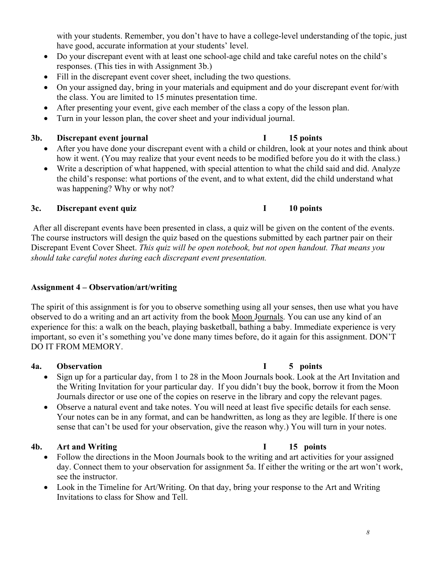with your students. Remember, you don't have to have a college-level understanding of the topic, just have good, accurate information at your students' level.

- Do your discrepant event with at least one school-age child and take careful notes on the child's responses. (This ties in with Assignment 3b.)
- Fill in the discrepant event cover sheet, including the two questions.
- On your assigned day, bring in your materials and equipment and do your discrepant event for/with the class. You are limited to 15 minutes presentation time.
- After presenting your event, give each member of the class a copy of the lesson plan.
- Turn in your lesson plan, the cover sheet and your individual journal.

# **3b.** Discrepant event journal **I** 15 points

- After you have done your discrepant event with a child or children, look at your notes and think about how it went. (You may realize that your event needs to be modified before you do it with the class.)
- Write a description of what happened, with special attention to what the child said and did. Analyze the child's response: what portions of the event, and to what extent, did the child understand what was happening? Why or why not?

# **3c.** Discrepant event quiz **I** 10 points

 After all discrepant events have been presented in class, a quiz will be given on the content of the events. The course instructors will design the quiz based on the questions submitted by each partner pair on their Discrepant Event Cover Sheet. *This quiz will be open notebook, but not open handout. That means you should take careful notes during each discrepant event presentation.* 

# **Assignment 4 – Observation/art/writing**

The spirit of this assignment is for you to observe something using all your senses, then use what you have observed to do a writing and an art activity from the book Moon Journals. You can use any kind of an experience for this: a walk on the beach, playing basketball, bathing a baby. Immediate experience is very important, so even it's something you've done many times before, do it again for this assignment. DON'T DO IT FROM MEMORY.

# **4a. Observation I 5 points**

- Sign up for a particular day, from 1 to 28 in the Moon Journals book. Look at the Art Invitation and the Writing Invitation for your particular day. If you didn't buy the book, borrow it from the Moon Journals director or use one of the copies on reserve in the library and copy the relevant pages.
- Observe a natural event and take notes. You will need at least five specific details for each sense. Your notes can be in any format, and can be handwritten, as long as they are legible. If there is one sense that can't be used for your observation, give the reason why.) You will turn in your notes.

# **4b. Art and Writing I 15 points**

- Follow the directions in the Moon Journals book to the writing and art activities for your assigned day. Connect them to your observation for assignment 5a. If either the writing or the art won't work, see the instructor.
- Look in the Timeline for Art/Writing. On that day, bring your response to the Art and Writing Invitations to class for Show and Tell.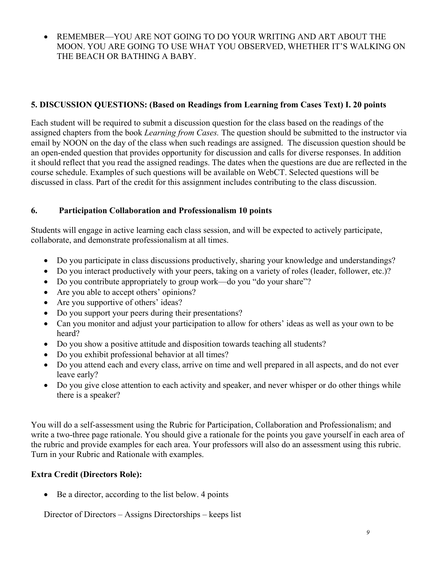• REMEMBER—YOU ARE NOT GOING TO DO YOUR WRITING AND ART ABOUT THE MOON. YOU ARE GOING TO USE WHAT YOU OBSERVED, WHETHER IT'S WALKING ON THE BEACH OR BATHING A BABY.

### **5. DISCUSSION QUESTIONS: (Based on Readings from Learning from Cases Text) I. 20 points**

Each student will be required to submit a discussion question for the class based on the readings of the assigned chapters from the book *Learning from Cases.* The question should be submitted to the instructor via email by NOON on the day of the class when such readings are assigned. The discussion question should be an open-ended question that provides opportunity for discussion and calls for diverse responses. In addition it should reflect that you read the assigned readings. The dates when the questions are due are reflected in the course schedule. Examples of such questions will be available on WebCT. Selected questions will be discussed in class. Part of the credit for this assignment includes contributing to the class discussion.

## **6. Participation Collaboration and Professionalism 10 points**

Students will engage in active learning each class session, and will be expected to actively participate, collaborate, and demonstrate professionalism at all times.

- Do you participate in class discussions productively, sharing your knowledge and understandings?
- Do you interact productively with your peers, taking on a variety of roles (leader, follower, etc.)?
- Do you contribute appropriately to group work—do you "do your share"?
- Are you able to accept others' opinions?
- Are you supportive of others' ideas?
- Do you support your peers during their presentations?
- Can you monitor and adjust your participation to allow for others' ideas as well as your own to be heard?
- Do you show a positive attitude and disposition towards teaching all students?
- Do you exhibit professional behavior at all times?
- Do you attend each and every class, arrive on time and well prepared in all aspects, and do not ever leave early?
- Do you give close attention to each activity and speaker, and never whisper or do other things while there is a speaker?

You will do a self-assessment using the Rubric for Participation, Collaboration and Professionalism; and write a two-three page rationale. You should give a rationale for the points you gave yourself in each area of the rubric and provide examples for each area. Your professors will also do an assessment using this rubric. Turn in your Rubric and Rationale with examples.

## **Extra Credit (Directors Role):**

• Be a director, according to the list below. 4 points

Director of Directors – Assigns Directorships – keeps list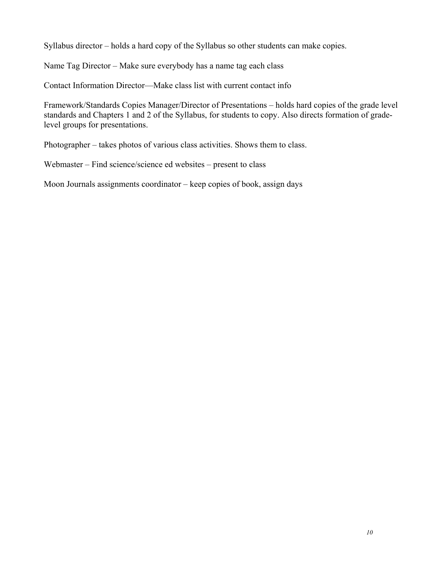Syllabus director – holds a hard copy of the Syllabus so other students can make copies.

Name Tag Director – Make sure everybody has a name tag each class

Contact Information Director—Make class list with current contact info

Framework/Standards Copies Manager/Director of Presentations – holds hard copies of the grade level standards and Chapters 1 and 2 of the Syllabus, for students to copy. Also directs formation of gradelevel groups for presentations.

Photographer – takes photos of various class activities. Shows them to class.

Webmaster – Find science/science ed websites – present to class

Moon Journals assignments coordinator – keep copies of book, assign days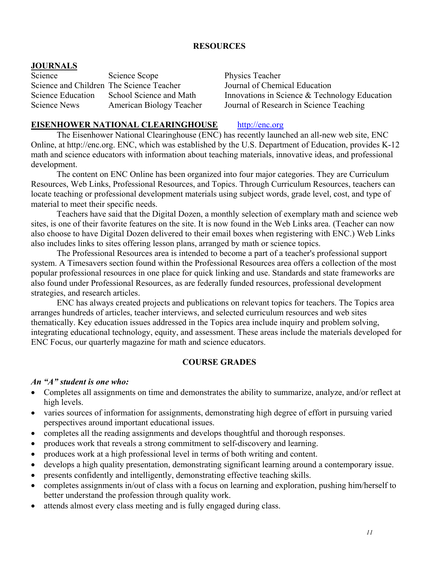### **RESOURCES**

## **JOURNALS**

Science Science Scope Physics Teacher Science and Children The Science Teacher Journal of Chemical Education Science Education School Science and Math Innovations in Science & Technology Education Science News American Biology Teacher Journal of Research in Science Teaching

### **EISENHOWER NATIONAL CLEARINGHOUSE** http://enc.org

The Eisenhower National Clearinghouse (ENC) has recently launched an all-new web site, ENC Online, at http://enc.org. ENC, which was established by the U.S. Department of Education, provides K-12 math and science educators with information about teaching materials, innovative ideas, and professional development.

The content on ENC Online has been organized into four major categories. They are Curriculum Resources, Web Links, Professional Resources, and Topics. Through Curriculum Resources, teachers can locate teaching or professional development materials using subject words, grade level, cost, and type of material to meet their specific needs.

Teachers have said that the Digital Dozen, a monthly selection of exemplary math and science web sites, is one of their favorite features on the site. It is now found in the Web Links area. (Teacher can now also choose to have Digital Dozen delivered to their email boxes when registering with ENC.) Web Links also includes links to sites offering lesson plans, arranged by math or science topics.

The Professional Resources area is intended to become a part of a teacher's professional support system. A Timesavers section found within the Professional Resources area offers a collection of the most popular professional resources in one place for quick linking and use. Standards and state frameworks are also found under Professional Resources, as are federally funded resources, professional development strategies, and research articles.

ENC has always created projects and publications on relevant topics for teachers. The Topics area arranges hundreds of articles, teacher interviews, and selected curriculum resources and web sites thematically. Key education issues addressed in the Topics area include inquiry and problem solving, integrating educational technology, equity, and assessment. These areas include the materials developed for ENC Focus, our quarterly magazine for math and science educators.

## **COURSE GRADES**

## *An "A" student is one who:*

- Completes all assignments on time and demonstrates the ability to summarize, analyze, and/or reflect at high levels.
- varies sources of information for assignments, demonstrating high degree of effort in pursuing varied perspectives around important educational issues.
- completes all the reading assignments and develops thoughtful and thorough responses.
- produces work that reveals a strong commitment to self-discovery and learning.
- produces work at a high professional level in terms of both writing and content.
- develops a high quality presentation, demonstrating significant learning around a contemporary issue.
- presents confidently and intelligently, demonstrating effective teaching skills.
- completes assignments in/out of class with a focus on learning and exploration, pushing him/herself to better understand the profession through quality work.
- attends almost every class meeting and is fully engaged during class.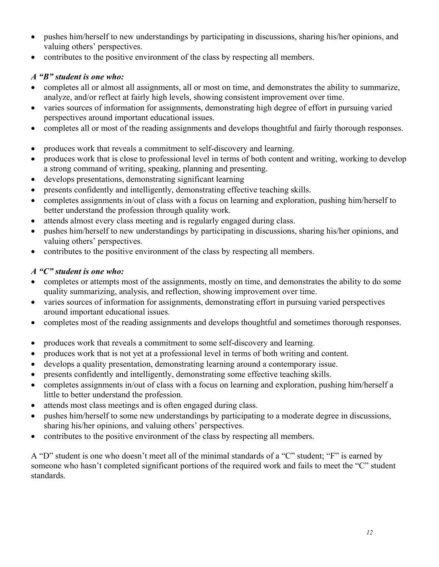- pushes him/herself to new understandings by participating in discussions, sharing his/her opinions, and valuing others' perspectives.
- contributes to the positive environment of the class by respecting all members.

## *A "B" student is one who:*

- completes all or almost all assignments, all or most on time, and demonstrates the ability to summarize, analyze, and/or reflect at fairly high levels, showing consistent improvement over time.
- varies sources of information for assignments, demonstrating high degree of effort in pursuing varied perspectives around important educational issues.
- completes all or most of the reading assignments and develops thoughtful and fairly thorough responses.
- produces work that reveals a commitment to self-discovery and learning.
- produces work that is close to professional level in terms of both content and writing, working to develop a strong command of writing, speaking, planning and presenting.
- develops presentations, demonstrating significant learning
- presents confidently and intelligently, demonstrating effective teaching skills.
- completes assignments in/out of class with a focus on learning and exploration, pushing him/herself to better understand the profession through quality work.
- attends almost every class meeting and is regularly engaged during class.
- pushes him/herself to new understandings by participating in discussions, sharing his/her opinions, and valuing others' perspectives.
- contributes to the positive environment of the class by respecting all members.

## *A "C" student is one who:*

- completes or attempts most of the assignments, mostly on time, and demonstrates the ability to do some quality summarizing, analysis, and reflection, showing improvement over time.
- varies sources of information for assignments, demonstrating effort in pursuing varied perspectives around important educational issues.
- completes most of the reading assignments and develops thoughtful and sometimes thorough responses.
- produces work that reveals a commitment to some self-discovery and learning.
- produces work that is not yet at a professional level in terms of both writing and content.
- develops a quality presentation, demonstrating learning around a contemporary issue.
- presents confidently and intelligently, demonstrating some effective teaching skills.
- completes assignments in/out of class with a focus on learning and exploration, pushing him/herself a little to better understand the profession.
- attends most class meetings and is often engaged during class.
- pushes him/herself to some new understandings by participating to a moderate degree in discussions, sharing his/her opinions, and valuing others' perspectives.
- contributes to the positive environment of the class by respecting all members.

A "D" student is one who doesn't meet all of the minimal standards of a "C" student; "F" is earned by someone who hasn't completed significant portions of the required work and fails to meet the "C" student standards.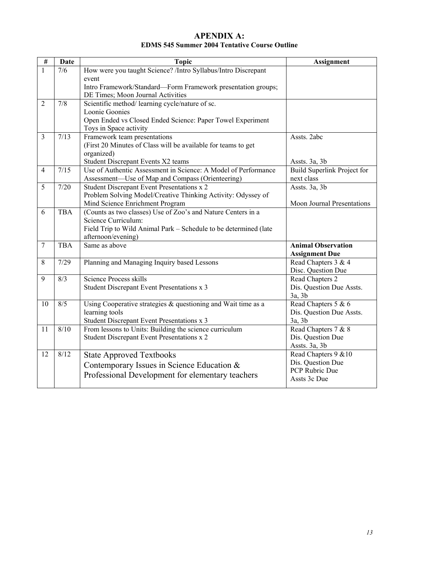### **APENDIX A: EDMS 545 Summer 2004 Tentative Course Outline**

| $\#$           | <b>Date</b>   | <b>Topic</b>                                                                 | <b>Assignment</b>                   |
|----------------|---------------|------------------------------------------------------------------------------|-------------------------------------|
| $\mathbf{1}$   | 7/6           | How were you taught Science? /Intro Syllabus/Intro Discrepant                |                                     |
|                |               | event                                                                        |                                     |
|                |               | Intro Framework/Standard-Form Framework presentation groups;                 |                                     |
|                |               | DE Times; Moon Journal Activities                                            |                                     |
| $\overline{2}$ | 7/8           | Scientific method/ learning cycle/nature of sc.                              |                                     |
|                |               | Loonie Goonies<br>Open Ended vs Closed Ended Science: Paper Towel Experiment |                                     |
|                |               | Toys in Space activity                                                       |                                     |
| $\overline{3}$ | 7/13          | Framework team presentations                                                 | Assts. 2abc                         |
|                |               | (First 20 Minutes of Class will be available for teams to get                |                                     |
|                |               | organized)                                                                   |                                     |
|                |               | Student Discrepant Events X2 teams                                           | Assts. 3a, 3b                       |
| $\overline{4}$ | $\sqrt{7/15}$ | Use of Authentic Assessment in Science: A Model of Performance               | <b>Build Superlink Project for</b>  |
|                |               | Assessment-Use of Map and Compass (Orienteering)                             | next class                          |
| 5              | 7/20          | <b>Student Discrepant Event Presentations x 2</b>                            | Assts. 3a, 3b                       |
|                |               | Problem Solving Model/Creative Thinking Activity: Odyssey of                 |                                     |
|                |               | Mind Science Enrichment Program                                              | Moon Journal Presentations          |
| 6              | <b>TBA</b>    | (Counts as two classes) Use of Zoo's and Nature Centers in a                 |                                     |
|                |               | Science Curriculum:                                                          |                                     |
|                |               | Field Trip to Wild Animal Park – Schedule to be determined (late             |                                     |
| $\tau$         | <b>TBA</b>    | afternoon/evening)<br>Same as above                                          | <b>Animal Observation</b>           |
|                |               |                                                                              | <b>Assignment Due</b>               |
| 8              | 7/29          | Planning and Managing Inquiry based Lessons                                  | Read Chapters 3 & 4                 |
|                |               |                                                                              | Disc. Question Due                  |
| 9              | 8/3           | Science Process skills                                                       | Read Chapters 2                     |
|                |               | Student Discrepant Event Presentations x 3                                   | Dis. Question Due Assts.            |
|                |               |                                                                              | 3a, 3b                              |
| 10             | 8/5           | Using Cooperative strategies & questioning and Wait time as a                | Read Chapters 5 & 6                 |
|                |               | learning tools                                                               | Dis. Question Due Assts.            |
|                |               | <b>Student Discrepant Event Presentations x 3</b>                            | 3a, 3b                              |
| 11             | 8/10          | From lessons to Units: Building the science curriculum                       | Read Chapters 7 & 8                 |
|                |               | Student Discrepant Event Presentations x 2                                   | Dis. Question Due                   |
|                |               |                                                                              | Assts. 3a, 3b                       |
| 12             | 8/12          | <b>State Approved Textbooks</b>                                              | Read Chapters 9 & 10                |
|                |               | Contemporary Issues in Science Education &                                   | Dis. Question Due<br>PCP Rubric Due |
|                |               | Professional Development for elementary teachers                             | Assts 3c Due                        |
|                |               |                                                                              |                                     |